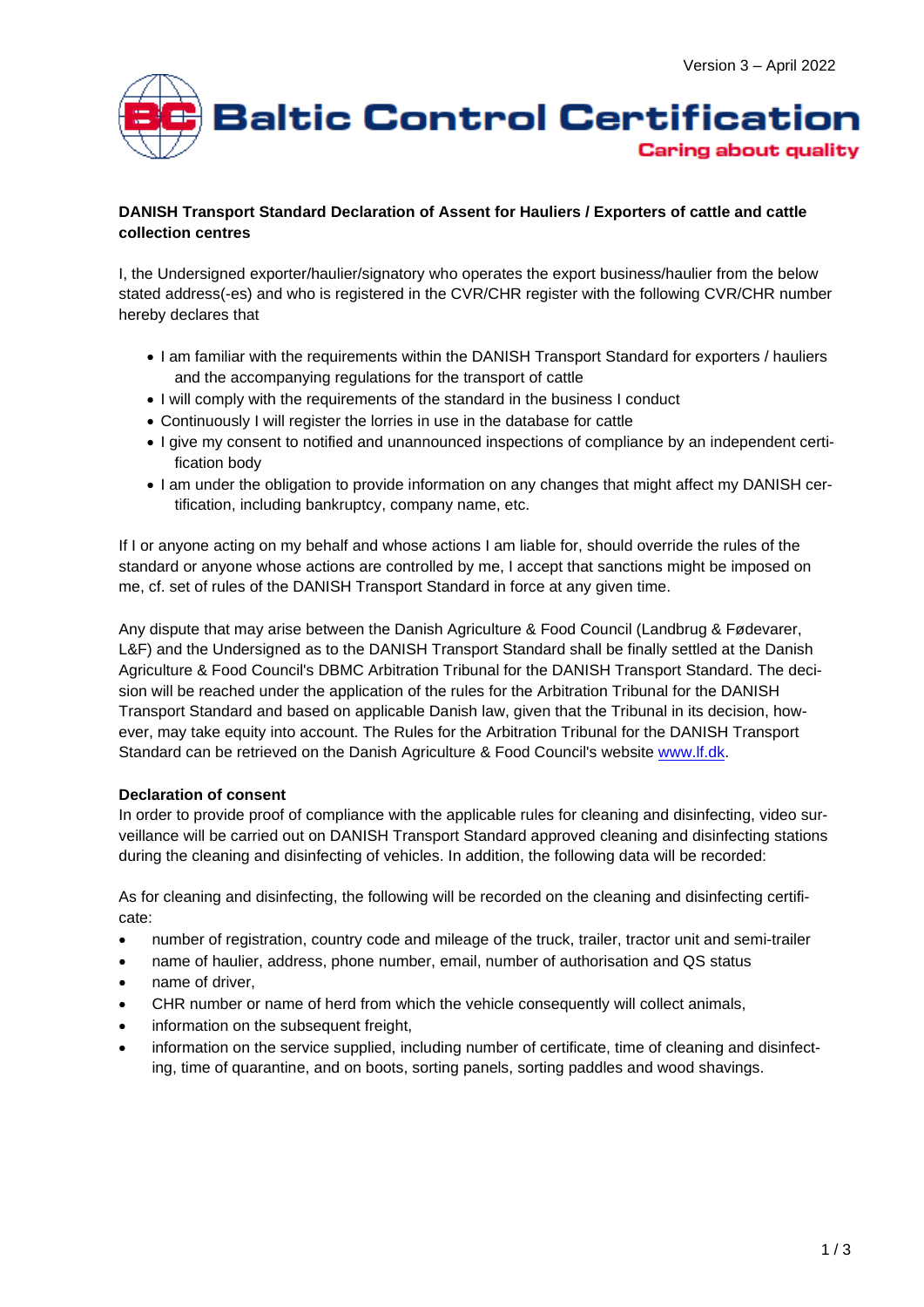

## **DANISH Transport Standard Declaration of Assent for Hauliers / Exporters of cattle and cattle collection centres**

I, the Undersigned exporter/haulier/signatory who operates the export business/haulier from the below stated address(-es) and who is registered in the CVR/CHR register with the following CVR/CHR number hereby declares that

- I am familiar with the requirements within the DANISH Transport Standard for exporters / hauliers and the accompanying regulations for the transport of cattle
- I will comply with the requirements of the standard in the business I conduct
- Continuously I will register the lorries in use in the database for cattle
- I give my consent to notified and unannounced inspections of compliance by an independent certification body
- I am under the obligation to provide information on any changes that might affect my DANISH certification, including bankruptcy, company name, etc.

If I or anyone acting on my behalf and whose actions I am liable for, should override the rules of the standard or anyone whose actions are controlled by me, I accept that sanctions might be imposed on me, cf. set of rules of the DANISH Transport Standard in force at any given time.

Any dispute that may arise between the Danish Agriculture & Food Council (Landbrug & Fødevarer, L&F) and the Undersigned as to the DANISH Transport Standard shall be finally settled at the Danish Agriculture & Food Council's DBMC Arbitration Tribunal for the DANISH Transport Standard. The decision will be reached under the application of the rules for the Arbitration Tribunal for the DANISH Transport Standard and based on applicable Danish law, given that the Tribunal in its decision, however, may take equity into account. The Rules for the Arbitration Tribunal for the DANISH Transport Standard can be retrieved on the Danish Agriculture & Food Council's website [www.lf.dk.](http://www.lf.dk/)

## **Declaration of consent**

In order to provide proof of compliance with the applicable rules for cleaning and disinfecting, video surveillance will be carried out on DANISH Transport Standard approved cleaning and disinfecting stations during the cleaning and disinfecting of vehicles. In addition, the following data will be recorded:

As for cleaning and disinfecting, the following will be recorded on the cleaning and disinfecting certificate:

- number of registration, country code and mileage of the truck, trailer, tractor unit and semi-trailer
- name of haulier, address, phone number, email, number of authorisation and QS status
- name of driver.
- CHR number or name of herd from which the vehicle consequently will collect animals,
- information on the subsequent freight,
- information on the service supplied, including number of certificate, time of cleaning and disinfecting, time of quarantine, and on boots, sorting panels, sorting paddles and wood shavings.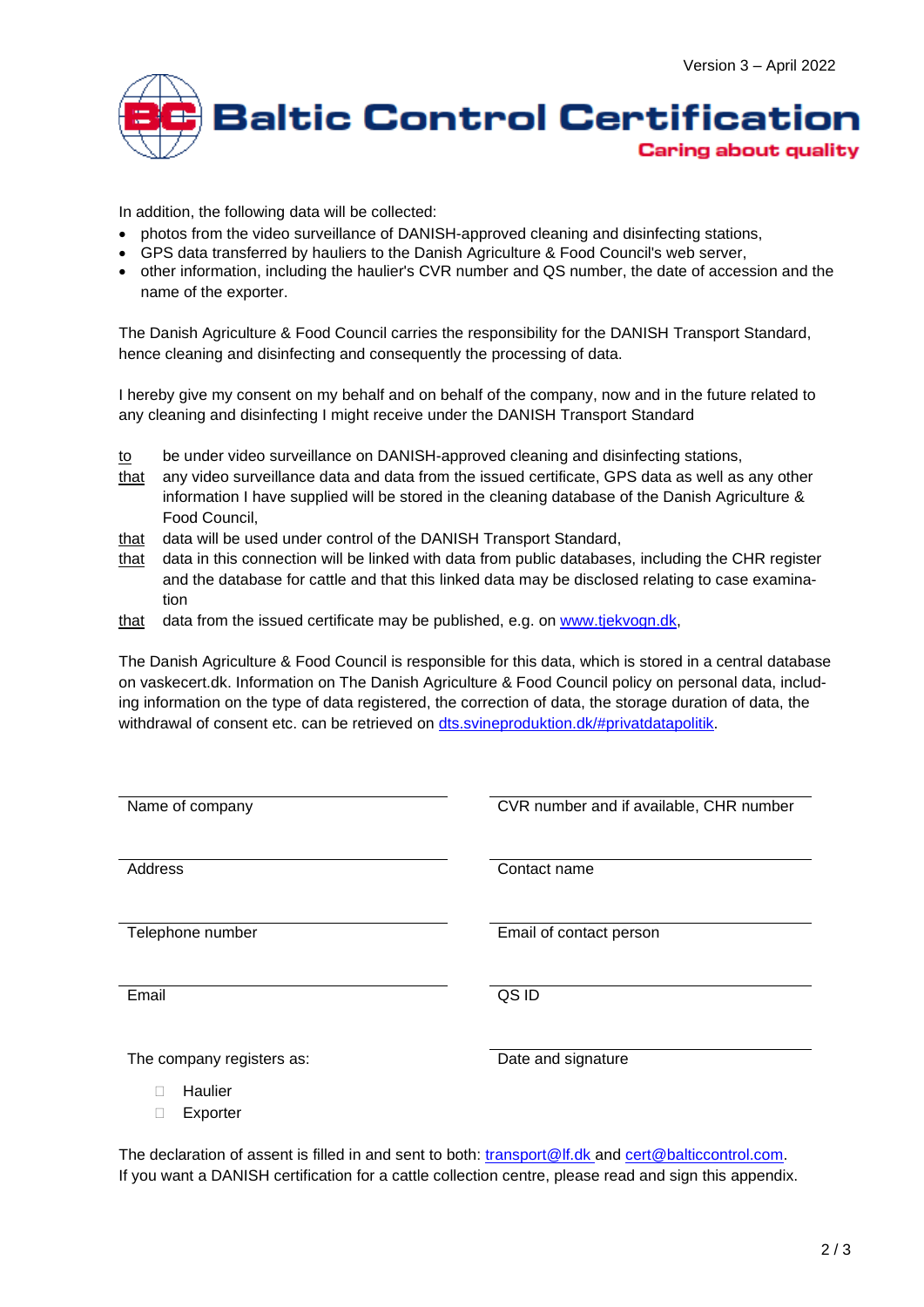

In addition, the following data will be collected:

- photos from the video surveillance of DANISH-approved cleaning and disinfecting stations,
- GPS data transferred by hauliers to the Danish Agriculture & Food Council's web server,
- other information, including the haulier's CVR number and QS number, the date of accession and the name of the exporter.

The Danish Agriculture & Food Council carries the responsibility for the DANISH Transport Standard, hence cleaning and disinfecting and consequently the processing of data.

I hereby give my consent on my behalf and on behalf of the company, now and in the future related to any cleaning and disinfecting I might receive under the DANISH Transport Standard

- to be under video surveillance on DANISH-approved cleaning and disinfecting stations,
- that any video surveillance data and data from the issued certificate, GPS data as well as any other information I have supplied will be stored in the cleaning database of the Danish Agriculture & Food Council,
- that data will be used under control of the DANISH Transport Standard,
- that data in this connection will be linked with data from public databases, including the CHR register and the database for cattle and that this linked data may be disclosed relating to case examination
- that data from the issued certificate may be published, e.g. on [www.tjekvogn.dk,](http://www.tjekvogn.dk/)

The Danish Agriculture & Food Council is responsible for this data, which is stored in a central database on vaskecert.dk. Information on The Danish Agriculture & Food Council policy on personal data, including information on the type of data registered, the correction of data, the storage duration of data, the withdrawal of consent etc. can be retrieved on [dts.svineproduktion.dk/#privatdatapolitik.](file:///C:/Users/Barbara/Downloads/dts.svineproduktion.dk/%23persondatapolitik)

| Name of company           | CVR number and if available, CHR number |
|---------------------------|-----------------------------------------|
|                           |                                         |
| Address                   | Contact name                            |
|                           |                                         |
|                           |                                         |
| Telephone number          | Email of contact person                 |
|                           |                                         |
| Email                     | QS ID                                   |
|                           |                                         |
| The company registers as: | Date and signature                      |
|                           |                                         |
| Haulier                   |                                         |
| Exporter                  |                                         |

The declaration of assent is filled in and sent to both: [transport@lf.dk](mailto:transport@lf.dk) and [cert@balticcontrol.com.](mailto:cert@balticcontrol.com) If you want a DANISH certification for a cattle collection centre, please read and sign this appendix.